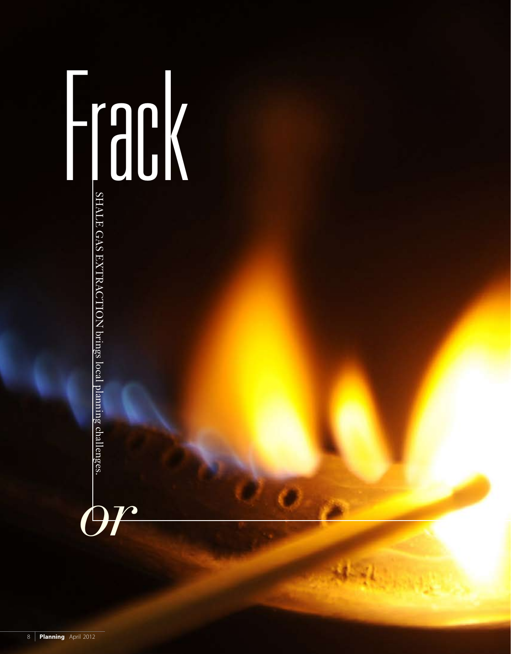# Frack *or* Shale ga s extraction brings local planning challenges.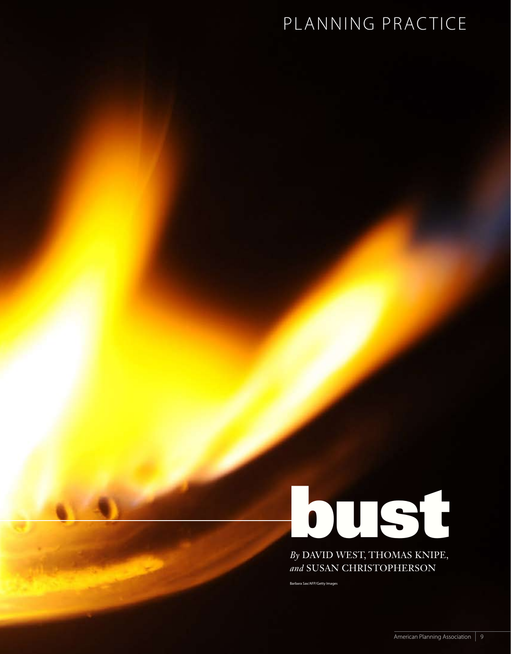# PLANNING PRACTICE

# **bust**

*By* David West, Thomas Knipe, and SUSAN CHRISTOPHERSON

Barbara Sax/AFP/Getty Images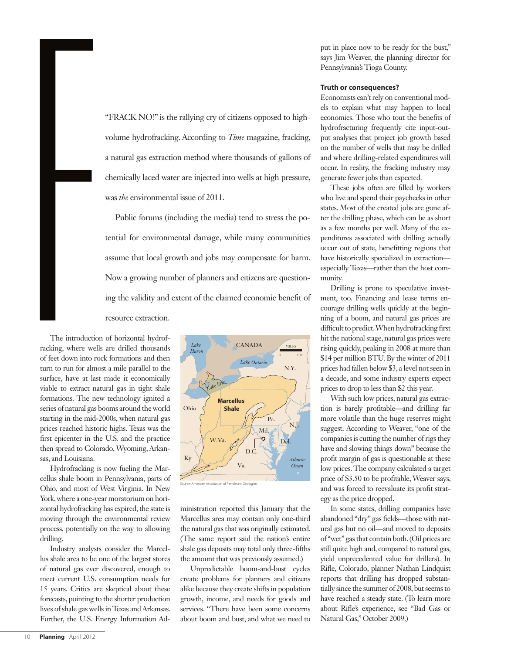"Frack no!" is the rallying cry of citizens opposed to highvolume hydrofracking. According to *Time* magazine, fracking, a natural gas extraction method where thousands of gallons of chemically laced water are injected into wells at high pressure, was *the* environmental issue of 2011.

Public forums (including the media) tend to stress the potential for environmental damage, while many communities assume that local growth and jobs may compensate for harm. Now a growing number of planners and citizens are questioning the validity and extent of the claimed economic benefit of resource extraction.

The introduct<br>racking, where w<br>of feet down into<br>turn to run for all<br>surface, have at l The introduction of horizontal hydrofracking, where wells are drilled thousands of feet down into rock formations and then turn to run for almost a mile parallel to the surface, have at last made it economically viable to extract natural gas in tight shale formations. The new technology ignited a series of natural gas booms around the world starting in the mid-2000s, when natural gas prices reached historic highs. Texas was the first epicenter in the U.S. and the practice then spread to Colorado, Wyoming, Arkansas, and Louisiana.

Hydrofracking is now fueling the Marcellus shale boom in Pennsylvania, parts of Ohio, and most of West Virginia. In New York, where a one-year moratorium on horizontal hydrofracking has expired, the state is moving through the environmental review process, potentially on the way to allowing drilling.

Industry analysts consider the Marcellus shale area to be one of the largest stores of natural gas ever discovered, enough to meet current U.S. consumption needs for 15 years. Critics are skeptical about these forecasts, pointing to the shorter production lives of shale gas wells in Texas and Arkansas. Further, the U.S. Energy Information Ad-



ministration reported this January that the Marcellus area may contain only one-third the natural gas that was originally estimated. (The same report said the nation's entire shale gas deposits may total only three-fifths the amount that was previously assumed.)

Unpredictable boom-and-bust cycles create problems for planners and citizens alike because they create shifts in population growth, income, and needs for goods and services. "There have been some concerns about boom and bust, and what we need to put in place now to be ready for the bust," says Jim Weaver, the planning director for Pennsylvania's Tioga County.

#### **Truth or consequences?**

Economists can't rely on conventional models to explain what may happen to local economies. Those who tout the benefits of hydrofracturing frequently cite input-output analyses that project job growth based on the number of wells that may be drilled and where drilling-related expenditures will occur. In reality, the fracking industry may generate fewer jobs than expected.

These jobs often are filled by workers who live and spend their paychecks in other states. Most of the created jobs are gone after the drilling phase, which can be as short as a few months per well. Many of the expenditures associated with drilling actually occur out of state, benefitting regions that have historically specialized in extraction especially Texas—rather than the host community.

Drilling is prone to speculative investment, too. Financing and lease terms encourage drilling wells quickly at the beginning of a boom, and natural gas prices are difficult to predict. When hydrofracking first hit the national stage, natural gas prices were rising quickly, peaking in 2008 at more than \$14 per million BTU. By the winter of 2011 prices had fallen below \$3, a level not seen in a decade, and some industry experts expect prices to drop to less than \$2 this year.

With such low prices, natural gas extraction is barely profitable—and drilling far more volatile than the huge reserves might suggest. According to Weaver, "one of the companies is cutting the number of rigs they have and slowing things down" because the profit margin of gas is questionable at these low prices. The company calculated a target price of \$3.50 to be profitable, Weaver says, and was forced to reevaluate its profit strategy as the price dropped.

In some states, drilling companies have abandoned "dry" gas fields—those with natural gas but no oil—and moved to deposits of "wet" gas that contain both. (Oil prices are still quite high and, compared to natural gas, yield unprecedented value for drillers). In Rifle, Colorado, planner Nathan Lindquist reports that drilling has dropped substantially since the summer of 2008, but seems to have reached a steady state. (To learn more about Rifle's experience, see "Bad Gas or Natural Gas," October 2009.)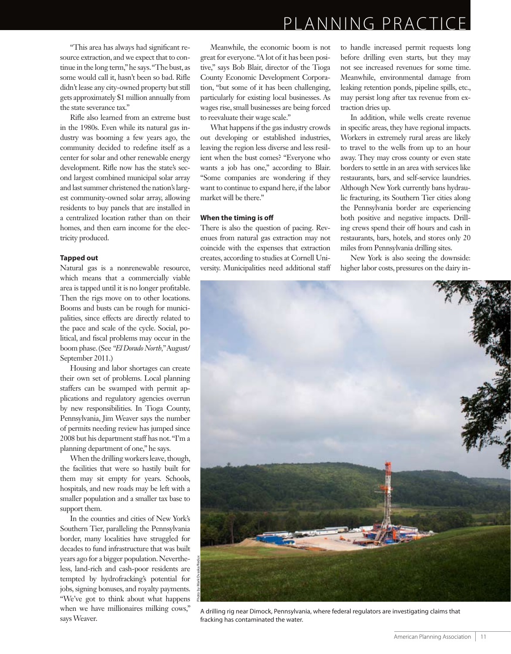"This area has always had significant resource extraction, and we expect that to continue in the long term," he says. "The bust, as some would call it, hasn't been so bad. Rifle didn't lease any city-owned property but still gets approximately \$1 million annually from the state severance tax."

Rifle also learned from an extreme bust in the 1980s. Even while its natural gas industry was booming a few years ago, the community decided to redefine itself as a center for solar and other renewable energy development. Rifle now has the state's second largest combined municipal solar array and last summer christened the nation's largest community-owned solar array, allowing residents to buy panels that are installed in a centralized location rather than on their homes, and then earn income for the electricity produced.

#### **Tapped out**

Natural gas is a nonrenewable resource, which means that a commercially viable area is tapped until it is no longer profitable. Then the rigs move on to other locations. Booms and busts can be rough for municipalities, since effects are directly related to the pace and scale of the cycle. Social, political, and fiscal problems may occur in the boom phase. (See *"El Dorado North,"*August/ September 2011.)

Housing and labor shortages can create their own set of problems. Local planning staffers can be swamped with permit applications and regulatory agencies overrun by new responsibilities. In Tioga County, Pennsylvania, Jim Weaver says the number of permits needing review has jumped since 2008 but his department staff has not. "I'm a planning department of one," he says.

When the drilling workers leave, though, the facilities that were so hastily built for them may sit empty for years. Schools, hospitals, and new roads may be left with a smaller population and a smaller tax base to support them.

In the counties and cities of New York's Southern Tier, paralleling the Pennsylvania border, many localities have struggled for decades to fund infrastructure that was built years ago for a bigger population. Nevertheless, land-rich and cash-poor residents are tempted by hydrofracking's potential for jobs, signing bonuses, and royalty payments. "We've got to think about what happens when we have millionaires milking cows," says Weaver.

Meanwhile, the economic boom is not great for everyone. "A lot of it has been positive," says Bob Blair, director of the Tioga County Economic Development Corporation, "but some of it has been challenging, particularly for existing local businesses. As wages rise, small businesses are being forced to reevaluate their wage scale."

What happens if the gas industry crowds out developing or established industries, leaving the region less diverse and less resilient when the bust comes? "Everyone who wants a job has one," according to Blair. "Some companies are wondering if they want to continue to expand here, if the labor market will be there."

#### **When the timing is off**

There is also the question of pacing. Revenues from natural gas extraction may not coincide with the expenses that extraction creates, according to studies at Cornell University. Municipalities need additional staff to handle increased permit requests long before drilling even starts, but they may not see increased revenues for some time. Meanwhile, environmental damage from leaking retention ponds, pipeline spills, etc., may persist long after tax revenue from extraction dries up.

In addition, while wells create revenue in specific areas, they have regional impacts. Workers in extremely rural areas are likely to travel to the wells from up to an hour away. They may cross county or even state borders to settle in an area with services like restaurants, bars, and self-service laundries. Although New York currently bans hydraulic fracturing, its Southern Tier cities along the Pennsylvania border are experiencing both positive and negative impacts. Drilling crews spend their off hours and cash in restaurants, bars, hotels, and stores only 20 miles from Pennsylvania drilling sites.

New York is also seeing the downside: higher labor costs, pressures on the dairy in-



A drilling rig near Dimock, Pennsylvania, where federal regulators are investigating claims that fracking has contaminated the water.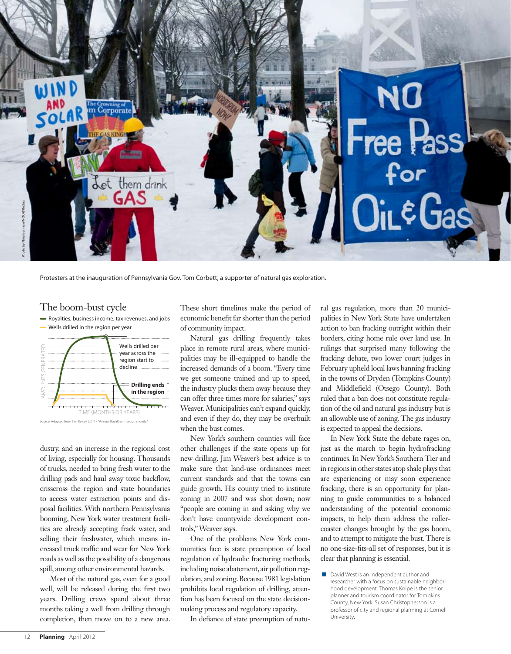

Protesters at the inauguration of Pennsylvania Gov. Tom Corbett, a supporter of natural gas exploration.

#### The boom-bust cycle

Royalties, business income, tax revenues, and jobs



dustry, and an increase in the regional cost of living, especially for housing. Thousands of trucks, needed to bring fresh water to the drilling pads and haul away toxic backflow, crisscross the region and state boundaries to access water extraction points and disposal facilities. With northern Pennsylvania booming, New York water treatment facilities are already accepting frack water, and selling their freshwater, which means increased truck traffic and wear for New York roads as well as the possibility of a dangerous spill, among other environmental hazards.

Most of the natural gas, even for a good well, will be released during the first two years. Drilling crews spend about three months taking a well from drilling through completion, then move on to a new area. These short timelines make the period of economic benefit far shorter than the period of community impact.

Natural gas drilling frequently takes place in remote rural areas, where municipalities may be ill-equipped to handle the increased demands of a boom. "Every time we get someone trained and up to speed, the industry plucks them away because they can offer three times more for salaries," says Weaver. Municipalities can't expand quickly, and even if they do, they may be overbuilt when the bust comes.

New York's southern counties will face other challenges if the state opens up for new drilling. Jim Weaver's best advice is to make sure that land-use ordinances meet current standards and that the towns can guide growth. His county tried to institute zoning in 2007 and was shot down; now "people are coming in and asking why we don't have countywide development controls," Weaver says.

One of the problems New York communities face is state preemption of local regulation of hydraulic fracturing methods, including noise abatement, air pollution regulation, and zoning. Because 1981 legislation prohibits local regulation of drilling, attention has been focused on the state decisionmaking process and regulatory capacity.

In defiance of state preemption of natu-

ral gas regulation, more than 20 municipalities in New York State have undertaken action to ban fracking outright within their borders, citing home rule over land use. In rulings that surprised many following the fracking debate, two lower court judges in February upheld local laws banning fracking in the towns of Dryden (Tompkins County) and Middlefield (Otsego County). Both ruled that a ban does not constitute regulation of the oil and natural gas industry but is an allowable use of zoning. The gas industry is expected to appeal the decisions.

In New York State the debate rages on, just as the march to begin hydrofracking continues. In New York's Southern Tier and in regions in other states atop shale plays that are experiencing or may soon experience fracking, there is an opportunity for planning to guide communities to a balanced understanding of the potential economic impacts, to help them address the rollercoaster changes brought by the gas boom, and to attempt to mitigate the bust. There is no one-size-fits-all set of responses, but it is clear that planning is essential.

David West is an independent author and researcher with a focus on sustainable neighborhood development. Thomas Knipe is the senior planner and tourism coordinator for Tompkins County, New York. Susan Christopherson is a professor of city and regional planning at Cornell University.